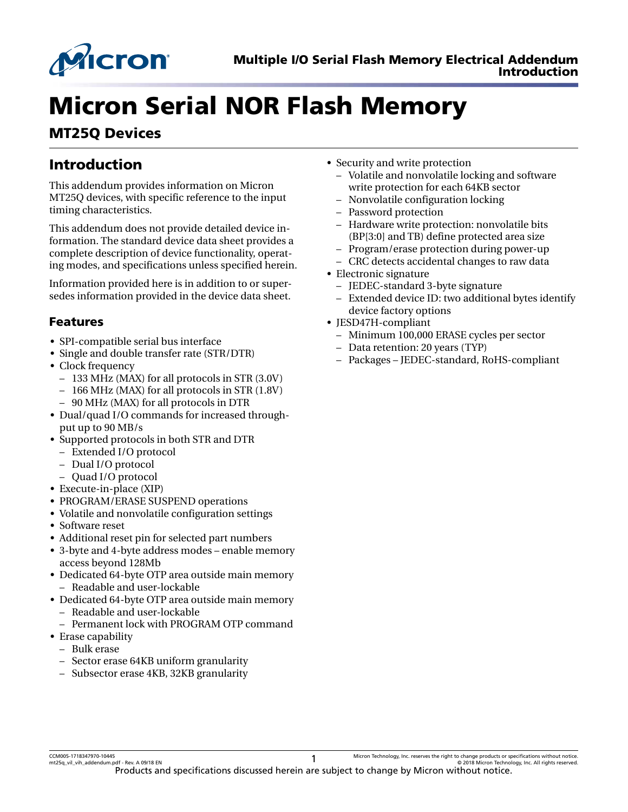

# Micron Serial NOR Flash Memory

## MT25Q Devices

## Introduction

This addendum provides information on Micron MT25Q devices, with specific reference to the input timing characteristics.

This addendum does not provide detailed device information. The standard device data sheet provides a complete description of device functionality, operating modes, and specifications unless specified herein.

Information provided here is in addition to or supersedes information provided in the device data sheet.

#### Features

- SPI-compatible serial bus interface
- Single and double transfer rate (STR/DTR)
- Clock frequency
	- 133 MHz (MAX) for all protocols in STR (3.0V)
	- 166 MHz (MAX) for all protocols in STR (1.8V)
	- 90 MHz (MAX) for all protocols in DTR
- Dual/quad I/O commands for increased throughput up to 90 MB/s
- Supported protocols in both STR and DTR
	- Extended I/O protocol
	- Dual I/O protocol
- Quad I/O protocol
- Execute-in-place (XIP)
- PROGRAM/ERASE SUSPEND operations
- Volatile and nonvolatile configuration settings
- Software reset
- Additional reset pin for selected part numbers
- 3-byte and 4-byte address modes enable memory access beyond 128Mb
- Dedicated 64-byte OTP area outside main memory – Readable and user-lockable
- Dedicated 64-byte OTP area outside main memory – Readable and user-lockable
	-
	- Permanent lock with PROGRAM OTP command
- Erase capability
	- Bulk erase
	- Sector erase 64KB uniform granularity
	- Subsector erase 4KB, 32KB granularity
- Security and write protection
	- Volatile and nonvolatile locking and software write protection for each 64KB sector
	- Nonvolatile configuration locking
	- Password protection
	- Hardware write protection: nonvolatile bits (BP[3:0] and TB) define protected area size
	- Program/erase protection during power-up
	- CRC detects accidental changes to raw data
- Electronic signature
	- JEDEC-standard 3-byte signature
	- Extended device ID: two additional bytes identify device factory options
- JESD47H-compliant
	- Minimum 100,000 ERASE cycles per sector
	- Data retention: 20 years (TYP)
	- Packages JEDEC-standard, RoHS-compliant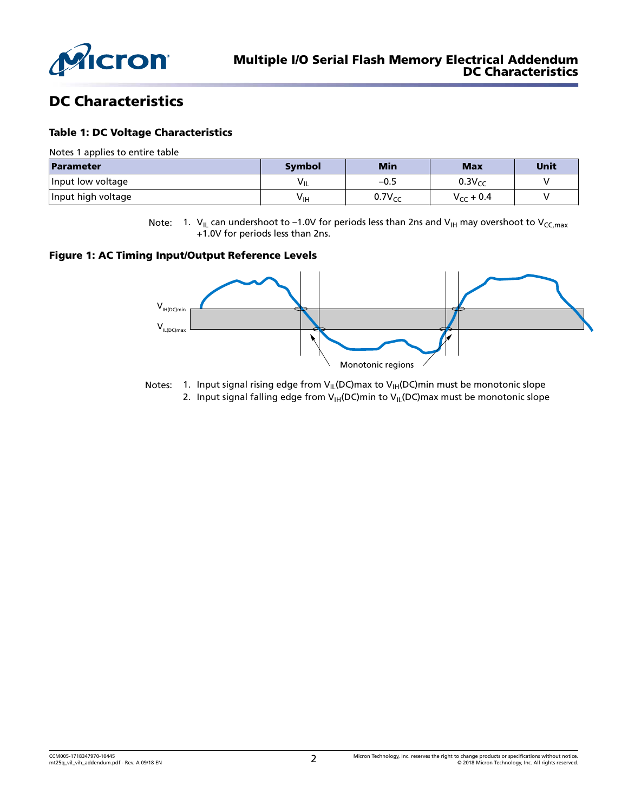

### DC Characteristics

#### Table 1: DC Voltage Characteristics

Notes 1 applies to entire table

| Parameter          | Symbol | <b>Min</b>  | <b>Max</b>     | Unit |
|--------------------|--------|-------------|----------------|------|
| Input low voltage  | VIL    | $-0.5$      | $0.3V_{cr}$    |      |
| Input high voltage | ∨ін    | $0.7V_{cr}$ | $V_{CC}$ + 0.4 |      |

Note: 1.  $V_{IL}$  can undershoot to -1.0V for periods less than 2ns and  $V_{IH}$  may overshoot to  $V_{CC, max}$ +1.0V for periods less than 2ns.

#### Figure 1: AC Timing Input/Output Reference Levels



- Notes: 1. Input signal rising edge from  $V_{IL}(DC)$  max to  $V_{IH}(DC)$  min must be monotonic slope
	- 2. Input signal falling edge from  $V_{H}(DC)$ min to  $V_{H}(DC)$ max must be monotonic slope